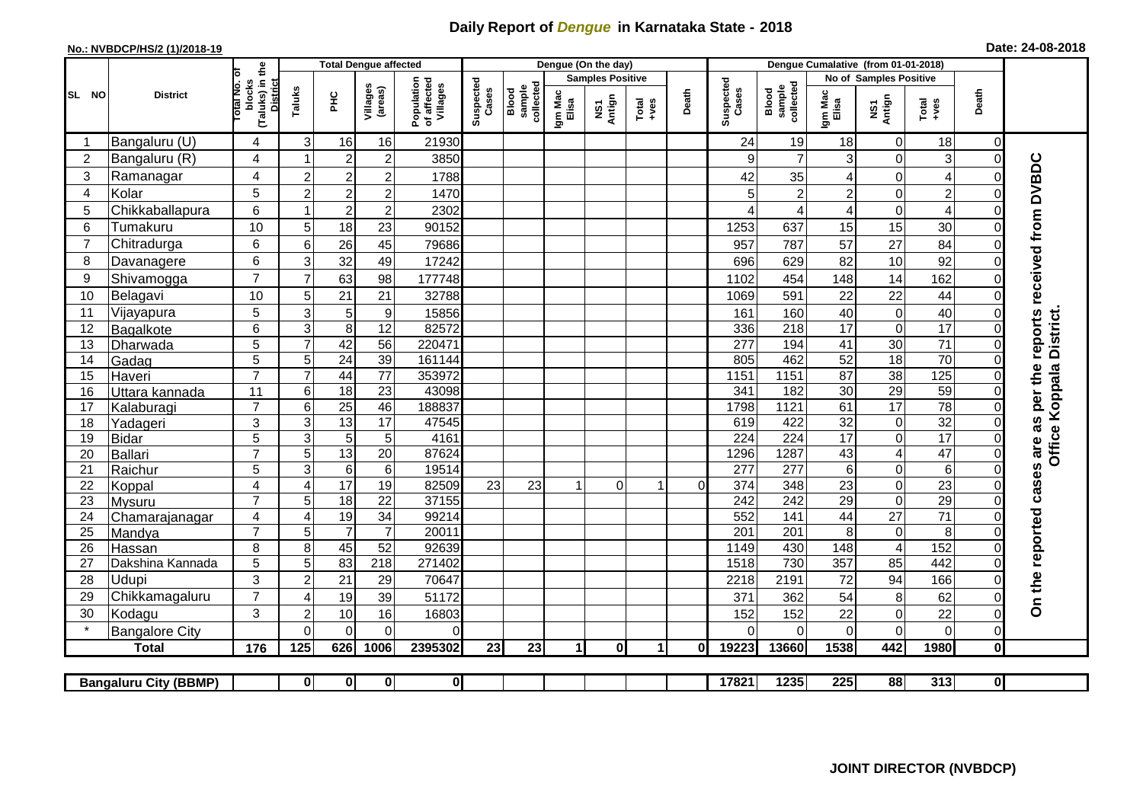## **Daily Report of** *Dengue* **in Karnataka State - 2018**

## **No.: NVBDCP/HS/2 (1)/2018-19 Date: 24-08-2018**

|                                                                                                                                                                           |  | <b>District</b>       |                                                                  |                |                 | <b>Total Dengue affected</b> |                                       | Dengue (On the day) |                              |                         |               |                                                              |          |                    | Dengue Cumalative (from 01-01-2018) |                        |                         |                           |                         |                                            |  |
|---------------------------------------------------------------------------------------------------------------------------------------------------------------------------|--|-----------------------|------------------------------------------------------------------|----------------|-----------------|------------------------------|---------------------------------------|---------------------|------------------------------|-------------------------|---------------|--------------------------------------------------------------|----------|--------------------|-------------------------------------|------------------------|-------------------------|---------------------------|-------------------------|--------------------------------------------|--|
|                                                                                                                                                                           |  |                       | ъ                                                                |                |                 |                              |                                       |                     |                              | <b>Samples Positive</b> |               |                                                              |          |                    |                                     | No of Samples Positive |                         |                           |                         |                                            |  |
| SL NO                                                                                                                                                                     |  |                       | (Taluks) in the<br><b>Total No.</b><br>blocks<br><b>District</b> | Taluks         | <b>PHC</b>      | Villages<br>(areas)          | Population<br>of affected<br>Villages | Suspected<br>Cases  | Blood<br>sample<br>collected | Igm Mac<br>Elisa        | NS1<br>Antign | $\begin{array}{c}\n\text{Total} \\ \text{Area}\n\end{array}$ | Death    | Suspected<br>Cases | collected<br>sample<br>Blood        | Igm Mac<br>Elisa       | NS1<br>Antign           | $Tota$<br>$+ves$          | Death                   |                                            |  |
|                                                                                                                                                                           |  | Bangaluru (U)         | 4                                                                | 3              | 16              | 16                           | 21930                                 |                     |                              |                         |               |                                                              |          | 24                 | 19                                  | 18                     | $\mathbf 0$             | 18                        | $\overline{0}$          |                                            |  |
| $\overline{2}$                                                                                                                                                            |  | Bangaluru (R)         | 4                                                                |                | $\overline{2}$  | $\overline{c}$               | 3850                                  |                     |                              |                         |               |                                                              |          | 9                  | $\overline{7}$                      | 3                      | $\mathbf 0$             | $\ensuremath{\mathsf{3}}$ | $\mathbf 0$             |                                            |  |
| 3                                                                                                                                                                         |  | Ramanagar             | 4                                                                | $\overline{2}$ | $\overline{2}$  | $\overline{c}$               | 1788                                  |                     |                              |                         |               |                                                              |          | 42                 | 35                                  | 4                      | $\overline{0}$          | $\overline{4}$            | 0                       | are as per the reports received from DVBDC |  |
| 4                                                                                                                                                                         |  | Kolar                 | $\sqrt{5}$                                                       | $\overline{2}$ | $\overline{2}$  | $\overline{c}$               | 1470                                  |                     |                              |                         |               |                                                              |          | 5                  | $\overline{c}$                      | $\overline{c}$         | $\pmb{0}$               | $\overline{c}$            | 0                       |                                            |  |
| 5                                                                                                                                                                         |  | Chikkaballapura       | 6                                                                |                | $\overline{2}$  | $\overline{2}$               | 2302                                  |                     |                              |                         |               |                                                              |          | 4                  | 4                                   | 4                      | $\pmb{0}$               | $\overline{\mathbf{4}}$   | 0                       |                                            |  |
| 6                                                                                                                                                                         |  | Tumakuru              | 10                                                               | 5              | 18              | 23                           | 90152                                 |                     |                              |                         |               |                                                              |          | 1253               | 637                                 | 15                     | 15                      | 30                        | $\mathbf 0$             |                                            |  |
| $\overline{7}$                                                                                                                                                            |  | Chitradurga           | 6                                                                | 6              | 26              | 45                           | 79686                                 |                     |                              |                         |               |                                                              |          | 957                | 787                                 | 57                     | $\overline{27}$         | 84                        | $\pmb{0}$               |                                            |  |
| 8                                                                                                                                                                         |  | Davanagere            | 6                                                                | 3              | 32              | 49                           | 17242                                 |                     |                              |                         |               |                                                              |          | 696                | 629                                 | 82                     | 10                      | 92                        | $\mathbf 0$             |                                            |  |
| 9                                                                                                                                                                         |  | Shivamogga            | $\overline{7}$                                                   | $\overline{7}$ | 63              | 98                           | 177748                                |                     |                              |                         |               |                                                              |          | 1102               | 454                                 | 148                    | 14                      | 162                       | $\mathbf 0$             |                                            |  |
| 10                                                                                                                                                                        |  | Belagavi              | $10$                                                             | 5              | 21              | 21                           | 32788                                 |                     |                              |                         |               |                                                              |          | 1069               | 591                                 | 22                     | 22                      | 44                        | $\pmb{0}$               |                                            |  |
| 11                                                                                                                                                                        |  | Vijayapura            | 5                                                                | 3              | 5               | 9                            | 15856                                 |                     |                              |                         |               |                                                              |          | 161                | 160                                 | 40                     | $\pmb{0}$               | 40                        | 0                       |                                            |  |
| 12                                                                                                                                                                        |  | Bagalkote             | 6                                                                | 3              | 8               | $\overline{12}$              | 82572                                 |                     |                              |                         |               |                                                              |          | 336                | $\overline{218}$                    | $\overline{17}$        | $\overline{\mathsf{o}}$ | 17                        | $\mathbf 0$             | <b>District</b>                            |  |
| 13                                                                                                                                                                        |  | Dharwada              | $\overline{5}$                                                   | $\overline{7}$ | 42              | $\overline{56}$              | 220471                                |                     |                              |                         |               |                                                              |          | 277                | 194                                 | 41                     | 30                      | $\overline{71}$           | $\overline{\mathsf{o}}$ |                                            |  |
| 14                                                                                                                                                                        |  | Gadag                 | $\overline{5}$                                                   | 5              | $\overline{24}$ | 39                           | 161144                                |                     |                              |                         |               |                                                              |          | 805                | 462                                 | 52                     | 18                      | 70                        | $\overline{\mathsf{o}}$ |                                            |  |
| 15                                                                                                                                                                        |  | Haveri                | $\overline{7}$                                                   | $\overline{7}$ | 44              | 77                           | 353972                                |                     |                              |                         |               |                                                              |          | 1151               | 1151                                | 87                     | 38                      | 125                       | $\pmb{0}$               |                                            |  |
| 16                                                                                                                                                                        |  | Uttara kannada        | 11                                                               | 6              | $\overline{18}$ | $\overline{23}$              | 43098                                 |                     |                              |                         |               |                                                              |          | 341                | 182                                 | $\overline{30}$        | 29                      | 59                        | $\mathsf{O}\xspace$     |                                            |  |
| $\overline{17}$                                                                                                                                                           |  | Kalaburagi            | $\overline{7}$                                                   | 6              | $\overline{25}$ | 46                           | 188837                                |                     |                              |                         |               |                                                              |          | 1798               | 1121                                | 61                     | 17                      | 78                        | $\mathbf 0$             |                                            |  |
| 18                                                                                                                                                                        |  | Yadageri              | 3                                                                | 3              | 13              | 17                           | 47545                                 |                     |                              |                         |               |                                                              |          | 619                | 422                                 | 32                     | $\pmb{0}$               | $\overline{32}$           | 0                       |                                            |  |
| 19                                                                                                                                                                        |  | <b>Bidar</b>          | 5                                                                | 3              | 5               | $\sqrt{5}$                   | 4161                                  |                     |                              |                         |               |                                                              |          | 224                | 224                                 | $\overline{17}$        | $\overline{0}$          | 17                        | $\Omega$                |                                            |  |
| 20                                                                                                                                                                        |  | <b>Ballari</b>        | $\overline{7}$                                                   | $\overline{5}$ | 13              | $\overline{20}$              | 87624                                 |                     |                              |                         |               |                                                              |          | 1296               | 1287                                | 43                     | $\overline{\mathbf{4}}$ | 47                        | $\mathsf{O}\xspace$     | Office Koppala                             |  |
| 21                                                                                                                                                                        |  | Raichur               | 5                                                                | $\overline{3}$ | $\overline{6}$  | $\overline{6}$               | 19514                                 |                     |                              |                         |               |                                                              |          | 277                | 277                                 | $\,6\,$                | $\pmb{0}$               | $\overline{6}$            | $\mathbf 0$             |                                            |  |
| 22                                                                                                                                                                        |  | Koppal                | 4                                                                | $\overline{4}$ | $\overline{17}$ | $\overline{19}$              | 82509                                 | 23                  | 23                           |                         | $\Omega$      | $\overline{\mathbf{1}}$                                      | $\Omega$ | 374                | 348                                 | 23                     | $\mathbf 0$             | $\overline{23}$           | $\mathbf 0$             |                                            |  |
| 23                                                                                                                                                                        |  | <b>Mysuru</b>         | $\overline{7}$                                                   | 5              | $\overline{18}$ | $\overline{22}$              | 37155                                 |                     |                              |                         |               |                                                              |          | 242                | 242                                 | $\overline{29}$        | $\pmb{0}$               | 29                        | $\mathbf 0$             |                                            |  |
| 24                                                                                                                                                                        |  | Chamarajanagar        | 4                                                                | $\overline{4}$ | 19              | $\overline{34}$              | 99214                                 |                     |                              |                         |               |                                                              |          | 552                | 141                                 | 44                     | $\overline{27}$         | 71                        | $\pmb{0}$               |                                            |  |
| 25                                                                                                                                                                        |  | Mandya                | $\overline{7}$                                                   | 5              | $\overline{7}$  | $\overline{7}$               | 20011                                 |                     |                              |                         |               |                                                              |          | 201                | 201                                 | 8                      | $\pmb{0}$               | 8                         | $\mathbf 0$             |                                            |  |
| 26                                                                                                                                                                        |  | Hassan                | 8                                                                | 8              | 45              | 52                           | 92639                                 |                     |                              |                         |               |                                                              |          | 1149               | 430                                 | 148                    | $\overline{\mathbf{4}}$ | 152                       | $\pmb{0}$               |                                            |  |
| 27                                                                                                                                                                        |  | Dakshina Kannada      | 5                                                                | $\overline{5}$ | 83              | $\overline{218}$             | 271402                                |                     |                              |                         |               |                                                              |          | 1518               | 730                                 | 357                    | 85                      | 442                       | $\mathbf 0$             |                                            |  |
| 28                                                                                                                                                                        |  | Udupi                 | 3                                                                | $\overline{2}$ | 21              | 29                           | 70647                                 |                     |                              |                         |               |                                                              |          | 2218               | 2191                                | 72                     | 94                      | 166                       | $\overline{0}$          |                                            |  |
| 29                                                                                                                                                                        |  | Chikkamagaluru        | $\overline{7}$                                                   | 4              | 19              | 39                           | 51172                                 |                     |                              |                         |               |                                                              |          | 371                | 362                                 | 54                     | 8                       | 62                        | $\pmb{0}$               | On the reported cases                      |  |
| 30                                                                                                                                                                        |  | Kodagu                | 3                                                                | $\overline{2}$ | 10              | 16                           | 16803                                 |                     |                              |                         |               |                                                              |          | 152                | 152                                 | 22                     | $\mathbf 0$             | 22                        | $\mathbf 0$             |                                            |  |
|                                                                                                                                                                           |  | <b>Bangalore City</b> |                                                                  | $\Omega$       | $\Omega$        | $\Omega$                     | 0                                     |                     |                              |                         |               |                                                              |          | $\Omega$           | 0                                   | 0                      | $\Omega$                | $\mathbf 0$               | $\overline{0}$          |                                            |  |
|                                                                                                                                                                           |  | <b>Total</b>          | 176                                                              | 125            | 626             | 1006                         | 2395302                               | 23                  | 23                           | $\mathbf{1}$            | $\mathbf{0}$  | $\blacktriangleleft$                                         | 01       | 19223              | 13660                               | 1538                   | 442                     | 1980                      | $\mathbf{0}$            |                                            |  |
| $\overline{\mathbf{0}}$<br>$\overline{\mathbf{o}}$<br>17821<br>1235<br>225<br>88<br>313<br>$\overline{0}$<br>$\mathbf{0}$<br>$\mathbf{0}$<br><b>Bangaluru City (BBMP)</b> |  |                       |                                                                  |                |                 |                              |                                       |                     |                              |                         |               |                                                              |          |                    |                                     |                        |                         |                           |                         |                                            |  |